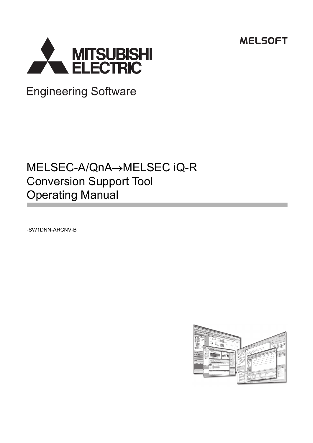**MELSOFT** 



**Engineering Software** 

# MELSEC-A/QnA->MELSEC iQ-R Conversion Support Tool Operating Manual

-SW1DNN-ARCNV-B

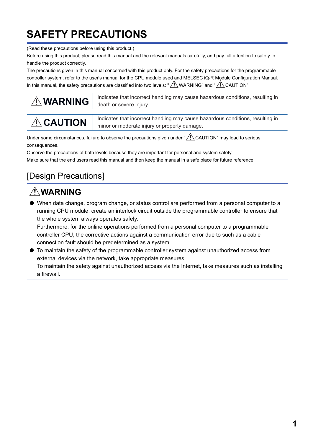# <span id="page-2-0"></span>**SAFETY PRECAUTIONS**

(Read these precautions before using this product.)

Before using this product, please read this manual and the relevant manuals carefully, and pay full attention to safety to handle the product correctly.

The precautions given in this manual concerned with this product only. For the safety precautions for the programmable controller system, refer to the user's manual for the CPU module used and MELSEC iQ-R Module Configuration Manual. In this manual, the safety precautions are classified into two levels: " $\bigwedge$  WARNING" and " $\bigwedge$  CAUTION".

| <b>AWARNING</b> | Indicates that incorrect handling may cause hazardous conditions, resulting in<br>death or severe injury. |
|-----------------|-----------------------------------------------------------------------------------------------------------|
| <b>ACAUTION</b> | Indicates that incorrect handling may cause hazardous conditions, resulting in                            |
|                 | minor or moderate injury or property damage.                                                              |

Under some circumstances, failure to observe the precautions given under " 
CAUTION" may lead to serious consequences.

Observe the precautions of both levels because they are important for personal and system safety.

Make sure that the end users read this manual and then keep the manual in a safe place for future reference.

## [Design Precautions]

## **WARNING**

● When data change, program change, or status control are performed from a personal computer to a running CPU module, create an interlock circuit outside the programmable controller to ensure that the whole system always operates safely.

Furthermore, for the online operations performed from a personal computer to a programmable controller CPU, the corrective actions against a communication error due to such as a cable connection fault should be predetermined as a system.

● To maintain the safety of the programmable controller system against unauthorized access from external devices via the network, take appropriate measures.

To maintain the safety against unauthorized access via the Internet, take measures such as installing a firewall.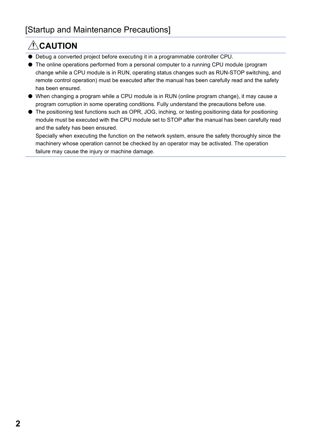## **ACAUTION**

- Debug a converted project before executing it in a programmable controller CPU.
- The online operations performed from a personal computer to a running CPU module (program change while a CPU module is in RUN, operating status changes such as RUN-STOP switching, and remote control operation) must be executed after the manual has been carefully read and the safety has been ensured.
- When changing a program while a CPU module is in RUN (online program change), it may cause a program corruption in some operating conditions. Fully understand the precautions before use.
- The positioning test functions such as OPR, JOG, inching, or testing positioning data for positioning module must be executed with the CPU module set to STOP after the manual has been carefully read and the safety has been ensured.

Specially when executing the function on the network system, ensure the safety thoroughly since the machinery whose operation cannot be checked by an operator may be activated. The operation failure may cause the injury or machine damage.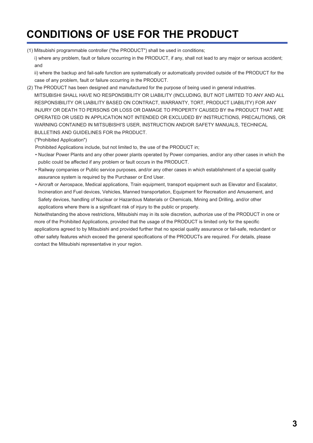# <span id="page-4-0"></span>**CONDITIONS OF USE FOR THE PRODUCT**

(1) Mitsubishi programmable controller ("the PRODUCT") shall be used in conditions;

i) where any problem, fault or failure occurring in the PRODUCT, if any, shall not lead to any major or serious accident; and

ii) where the backup and fail-safe function are systematically or automatically provided outside of the PRODUCT for the case of any problem, fault or failure occurring in the PRODUCT.

(2) The PRODUCT has been designed and manufactured for the purpose of being used in general industries. MITSUBISHI SHALL HAVE NO RESPONSIBILITY OR LIABILITY (INCLUDING, BUT NOT LIMITED TO ANY AND ALL RESPONSIBILITY OR LIABILITY BASED ON CONTRACT, WARRANTY, TORT, PRODUCT LIABILITY) FOR ANY INJURY OR DEATH TO PERSONS OR LOSS OR DAMAGE TO PROPERTY CAUSED BY the PRODUCT THAT ARE OPERATED OR USED IN APPLICATION NOT INTENDED OR EXCLUDED BY INSTRUCTIONS, PRECAUTIONS, OR WARNING CONTAINED IN MITSUBISHI'S USER, INSTRUCTION AND/OR SAFETY MANUALS, TECHNICAL BULLETINS AND GUIDELINES FOR the PRODUCT.

("Prohibited Application")

Prohibited Applications include, but not limited to, the use of the PRODUCT in;

- Nuclear Power Plants and any other power plants operated by Power companies, and/or any other cases in which the public could be affected if any problem or fault occurs in the PRODUCT.
- Railway companies or Public service purposes, and/or any other cases in which establishment of a special quality assurance system is required by the Purchaser or End User.
- Aircraft or Aerospace, Medical applications, Train equipment, transport equipment such as Elevator and Escalator, Incineration and Fuel devices, Vehicles, Manned transportation, Equipment for Recreation and Amusement, and Safety devices, handling of Nuclear or Hazardous Materials or Chemicals, Mining and Drilling, and/or other applications where there is a significant risk of injury to the public or property.

Notwithstanding the above restrictions, Mitsubishi may in its sole discretion, authorize use of the PRODUCT in one or more of the Prohibited Applications, provided that the usage of the PRODUCT is limited only for the specific applications agreed to by Mitsubishi and provided further that no special quality assurance or fail-safe, redundant or other safety features which exceed the general specifications of the PRODUCTs are required. For details, please contact the Mitsubishi representative in your region.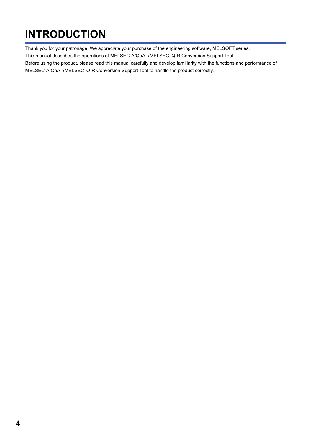# <span id="page-5-0"></span>**INTRODUCTION**

Thank you for your patronage. We appreciate your purchase of the engineering software, MELSOFT series.

This manual describes the operations of MELSEC-A/QnA->MELSEC iQ-R Conversion Support Tool.

Before using the product, please read this manual carefully and develop familiarity with the functions and performance of MELSEC-A/QnA->MELSEC iQ-R Conversion Support Tool to handle the product correctly.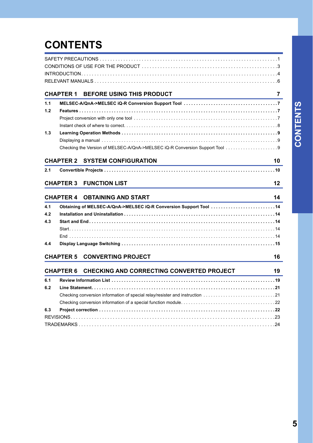# **CONTENTS**

|     | <b>CHAPTER 1</b> | BEFORE USING THIS PRODUCT                                                    | 7  |
|-----|------------------|------------------------------------------------------------------------------|----|
| 1.1 |                  |                                                                              |    |
| 1.2 |                  |                                                                              |    |
|     |                  |                                                                              |    |
|     |                  |                                                                              |    |
| 1.3 |                  |                                                                              |    |
|     |                  |                                                                              |    |
|     |                  |                                                                              |    |
|     |                  | <b>CHAPTER 2 SYSTEM CONFIGURATION</b>                                        | 10 |
| 2.1 |                  |                                                                              |    |
|     |                  | <b>CHAPTER 3 FUNCTION LIST</b>                                               | 12 |
|     |                  | <b>CHAPTER 4 OBTAINING AND START</b>                                         | 14 |
|     |                  |                                                                              |    |
| 4.1 |                  | Obtaining of MELSEC-A/QnA->MELSEC iQ-R Conversion Support Tool 14            |    |
| 4.2 |                  |                                                                              |    |
| 4.3 |                  |                                                                              |    |
|     |                  |                                                                              |    |
| 4.4 |                  |                                                                              |    |
|     |                  |                                                                              |    |
|     |                  | <b>CHAPTER 5 CONVERTING PROJECT</b>                                          | 16 |
|     | <b>CHAPTER 6</b> | CHECKING AND CORRECTING CONVERTED PROJECT                                    | 19 |
| 6.1 |                  |                                                                              |    |
| 6.2 |                  |                                                                              |    |
|     |                  | Checking conversion information of special relay/resister and instruction 21 |    |
|     |                  |                                                                              |    |
| 6.3 |                  |                                                                              |    |
|     |                  |                                                                              |    |
|     |                  |                                                                              |    |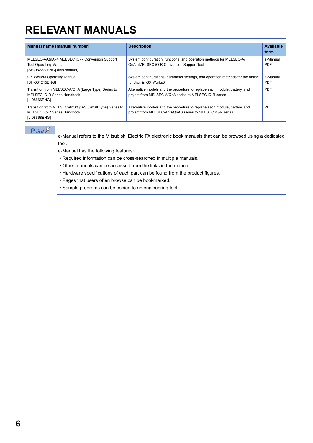# <span id="page-7-0"></span>**RELEVANT MANUALS**

| Manual name [manual number]                                                                                    | <b>Description</b>                                                                                                                     | Available<br>form      |
|----------------------------------------------------------------------------------------------------------------|----------------------------------------------------------------------------------------------------------------------------------------|------------------------|
| MELSEC-A/QnA -> MELSEC iQ-R Conversion Support<br><b>Tool Operating Manual</b><br>[SH-082277ENG] (this manual) | System configuration, functions, and operation methods for MELSEC-A/<br>QnA→MELSEC iQ-R Conversion Support Tool                        | e-Manual<br><b>PDF</b> |
| <b>GX Works3 Operating Manual</b><br>[SH-081215ENG]                                                            | System configurations, parameter settings, and operation methods for the online<br>function in GX Works3                               | e-Manual<br><b>PDF</b> |
| Transition from MELSEC-A/QnA (Large Type) Series to<br>MELSEC iQ-R Series Handbook<br>[L-08666ENG]             | Alternative models and the procedure to replace each module, battery, and<br>project from MELSEC-A/QnA series to MELSEC iQ-R series    | PDF                    |
| Transition from MELSEC-AnS/QnAS (Small Type) Series to<br>MELSEC iQ-R Series Handbook<br>[L-08668ENG]          | Alternative models and the procedure to replace each module, battery, and<br>project from MELSEC-AnS/QnAS series to MELSEC iQ-R series | <b>PDF</b>             |

## $Point<sup>9</sup>$

e-Manual refers to the Mitsubishi Electric FA electronic book manuals that can be browsed using a dedicated tool.

e-Manual has the following features:

- Required information can be cross-searched in multiple manuals.
- Other manuals can be accessed from the links in the manual.
- Hardware specifications of each part can be found from the product figures.
- Pages that users often browse can be bookmarked.
- Sample programs can be copied to an engineering tool.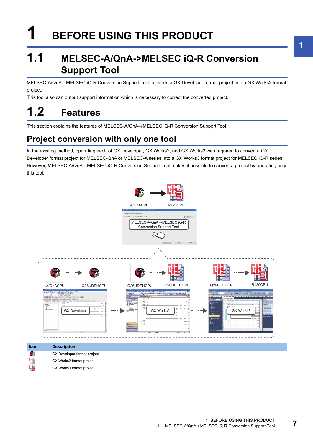# <span id="page-8-0"></span>**1 BEFORE USING THIS PRODUCT**

## <span id="page-8-1"></span>**1.1 MELSEC-A/QnA->MELSEC iQ-R Conversion Support Tool**

MELSEC-A/QnA->MELSEC iQ-R Conversion Support Tool converts a GX Developer format project into a GX Works3 format project.

This tool also can output support information which is necessary to correct the converted project.

# <span id="page-8-2"></span>**1.2 Features**

This section explains the features of MELSEC-A/QnA->MELSEC iQ-R Conversion Support Tool.

## <span id="page-8-3"></span>**Project conversion with only one tool**

In the existing method, operating each of GX Developer, GX Works2, and GX Works3 was required to convert a GX Developer format project for MELSEC-QnA or MELSEC-A series into a GX Works3 format project for MELSEC iQ-R series. However, MELSEC-A/QnA->MELSEC iQ-R Conversion Support Tool makes it possible to convert a project by operating only this tool.

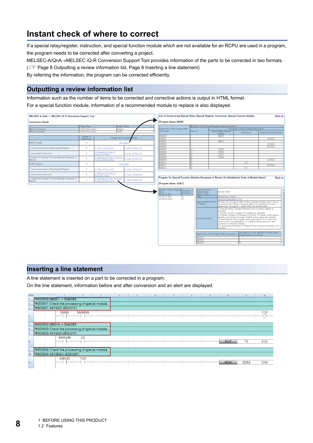## <span id="page-9-0"></span>**Instant check of where to correct**

If a special relay/register, instruction, and special function module which are not available for an RCPU are used in a program, the program needs to be corrected after converting a project.

MELSEC-A/QnA->MELSEC iQ-R Conversion Support Tool provides information of the parts to be corrected in two formats.

( $\sqrt{p}$  [Page 8 Outputting a review information list](#page-9-1), [Page 8 Inserting a line statement\)](#page-9-2)

By referring the information, the program can be corrected efficiently.

### <span id="page-9-1"></span>**Outputting a review information list**

Information such as the number of items to be corrected and corrective actions is output in HTML format.

For a special function module, information of a recommended module to replace is also displayed.

| MELSEC-A/QnA -> MELSEC iQ-R Conversion Support Tool         |                   |                                                        |                                  | List of Unconverted Special Relay/Special Register, Instruction, Special Function Module.                                   |                                                                                                                                                     |                                                                                                                                                                                   |                                                                                                                                                                                                                                                                                                                                                                                                                                                                                                                           | <b>Back to</b>                                                                                                                                                                                                                                         |
|-------------------------------------------------------------|-------------------|--------------------------------------------------------|----------------------------------|-----------------------------------------------------------------------------------------------------------------------------|-----------------------------------------------------------------------------------------------------------------------------------------------------|-----------------------------------------------------------------------------------------------------------------------------------------------------------------------------------|---------------------------------------------------------------------------------------------------------------------------------------------------------------------------------------------------------------------------------------------------------------------------------------------------------------------------------------------------------------------------------------------------------------------------------------------------------------------------------------------------------------------------|--------------------------------------------------------------------------------------------------------------------------------------------------------------------------------------------------------------------------------------------------------|
| <b>Conversion Result</b>                                    |                   |                                                        |                                  | [Program Name: MAIN]                                                                                                        |                                                                                                                                                     |                                                                                                                                                                                   |                                                                                                                                                                                                                                                                                                                                                                                                                                                                                                                           |                                                                                                                                                                                                                                                        |
|                                                             | Project Path      |                                                        | Project Name                     |                                                                                                                             |                                                                                                                                                     | MELSEO-A/QnA Series Program before Conversion                                                                                                                                     |                                                                                                                                                                                                                                                                                                                                                                                                                                                                                                                           |                                                                                                                                                                                                                                                        |
| Before Conversion                                           | ¥AR GXD project   |                                                        | Sample                           | Search Key of the Program after                                                                                             |                                                                                                                                                     |                                                                                                                                                                                   | Information of the Corresponding Place                                                                                                                                                                                                                                                                                                                                                                                                                                                                                    |                                                                                                                                                                                                                                                        |
| After Conversion                                            | XAR GX3 project   |                                                        | GXW3                             | Conversion                                                                                                                  | Step No.                                                                                                                                            | Special Relay/Special<br><b>Register</b>                                                                                                                                          | Instruction                                                                                                                                                                                                                                                                                                                                                                                                                                                                                                               | Special Function Module                                                                                                                                                                                                                                |
|                                                             | Number of         |                                                        | Display the Conversion<br>Pesult | #000000<br>#000001                                                                                                          |                                                                                                                                                     | M9001                                                                                                                                                                             |                                                                                                                                                                                                                                                                                                                                                                                                                                                                                                                           |                                                                                                                                                                                                                                                        |
|                                                             | <b>Detections</b> |                                                        |                                  | #000002                                                                                                                     |                                                                                                                                                     | M9010                                                                                                                                                                             |                                                                                                                                                                                                                                                                                                                                                                                                                                                                                                                           | A616AD                                                                                                                                                                                                                                                 |
| MAIN Program                                                | 13                |                                                        | <b>List Displa</b>               | #000003                                                                                                                     |                                                                                                                                                     |                                                                                                                                                                                   |                                                                                                                                                                                                                                                                                                                                                                                                                                                                                                                           | A616AD                                                                                                                                                                                                                                                 |
|                                                             |                   |                                                        |                                  |                                                                                                                             |                                                                                                                                                     |                                                                                                                                                                                   |                                                                                                                                                                                                                                                                                                                                                                                                                                                                                                                           |                                                                                                                                                                                                                                                        |
| Unconverted Special Relay/Special Register                  | 6                 | n Order of Device No.                                  | n Order of Step No.              | #000004                                                                                                                     |                                                                                                                                                     |                                                                                                                                                                                   |                                                                                                                                                                                                                                                                                                                                                                                                                                                                                                                           | A616DAV                                                                                                                                                                                                                                                |
|                                                             |                   |                                                        |                                  | #000005                                                                                                                     | 14                                                                                                                                                  | D9025                                                                                                                                                                             |                                                                                                                                                                                                                                                                                                                                                                                                                                                                                                                           |                                                                                                                                                                                                                                                        |
| Unconverted Instruction                                     | $\mathcal{P}$     | n Alchabetical Order of                                | n Order of Step No.              | #000006                                                                                                                     | 19                                                                                                                                                  | D9026                                                                                                                                                                             |                                                                                                                                                                                                                                                                                                                                                                                                                                                                                                                           |                                                                                                                                                                                                                                                        |
|                                                             |                   | <b>Istruction Name</b>                                 |                                  | #000007                                                                                                                     | 24                                                                                                                                                  | D9027                                                                                                                                                                             |                                                                                                                                                                                                                                                                                                                                                                                                                                                                                                                           |                                                                                                                                                                                                                                                        |
| Program for Special Function Modules Necessary in           | $5 -$             | n Alphabetical Order of Special                        | Order of Step No.                | #000008                                                                                                                     | οū                                                                                                                                                  | D9028                                                                                                                                                                             |                                                                                                                                                                                                                                                                                                                                                                                                                                                                                                                           |                                                                                                                                                                                                                                                        |
| Review                                                      |                   | unotion Module Name                                    |                                  | #000009                                                                                                                     | RΔ                                                                                                                                                  |                                                                                                                                                                                   |                                                                                                                                                                                                                                                                                                                                                                                                                                                                                                                           | A616AD                                                                                                                                                                                                                                                 |
| SUB1 Program                                                | $\overline{9}$    |                                                        | <b>List Display</b>              | #000010                                                                                                                     | 35                                                                                                                                                  |                                                                                                                                                                                   | LED                                                                                                                                                                                                                                                                                                                                                                                                                                                                                                                       |                                                                                                                                                                                                                                                        |
|                                                             |                   |                                                        |                                  | #000011                                                                                                                     | 38                                                                                                                                                  |                                                                                                                                                                                   |                                                                                                                                                                                                                                                                                                                                                                                                                                                                                                                           | A616DAV                                                                                                                                                                                                                                                |
|                                                             | $\overline{2}$    |                                                        |                                  | #000012                                                                                                                     | k9                                                                                                                                                  |                                                                                                                                                                                   | <b>SLT</b>                                                                                                                                                                                                                                                                                                                                                                                                                                                                                                                |                                                                                                                                                                                                                                                        |
| Unconverted Special Relay/Special Register                  |                   | n Order of Device No.                                  | n Order of Step No.              |                                                                                                                             |                                                                                                                                                     |                                                                                                                                                                                   |                                                                                                                                                                                                                                                                                                                                                                                                                                                                                                                           |                                                                                                                                                                                                                                                        |
| Unconverted Instruction                                     | $\overline{2}$    | Alphabetical Order of<br><b>Istruction Name</b>        | n Order of Step No.              |                                                                                                                             |                                                                                                                                                     |                                                                                                                                                                                   |                                                                                                                                                                                                                                                                                                                                                                                                                                                                                                                           |                                                                                                                                                                                                                                                        |
| Program for Special Function Modules Necessary in<br>Review | $5^{\circ}$       | 1 Alphabetical Order of Special<br>unction Module Name | Order of Step No.                | Program for Special Function Modules Necessary in Review (In Alphabetical Order of Module Name)                             |                                                                                                                                                     |                                                                                                                                                                                   |                                                                                                                                                                                                                                                                                                                                                                                                                                                                                                                           | <b>Back to</b>                                                                                                                                                                                                                                         |
|                                                             |                   |                                                        |                                  | Special Function Module<br>Number of<br>lame<br>detections)<br>Start XY No.)<br>A616AD (000)<br>(3)<br>(2)<br>A616DAV (020) | Special Function<br>Module Name<br>(Start XY No.)<br>Type<br>Recommended Module<br>to Replace<br>Corrective Action<br>#000014<br>#000016<br>#000018 | A616AD (000)<br>Analog input_module<br><b>BEDADIVS/REDADIS (P 220)</b><br>(ektelieve<br>conversion speed are changed.<br>(ekdelieve<br>Search Key of the Program after Conversion | *Display the comparing table of recommended modules when clicking<br>the module name. When comparing table is not displayed correctly,<br>please open the page No. written after the module name.<br>1) External wiring: Changed (Renewal tool conversion adapter is<br>address, and resolution (range of digital output value) are changed<br>4) Specifications: 8CH/module, Input signal (either V or I input only,<br>minus current not applicable). I/O characteristics, resolution, and<br>Program before Conversion | .<br>2) Number of slots: Changed (2 modules are required)<br>3) Program: Number of occupied I/O points. I/O signal. buffer memory<br>5) Functional specifications: Changed (Direct access processing is not<br>The Step No. of the MELSEC-A/QnA Series |

### <span id="page-9-2"></span>**Inserting a line statement**

A line statement is inserted on a part to be corrected in a program.

On the line statement, information before and after conversion and an alert are displayed.

| Write          | $\sim$                                           | $\overline{2}$ | 3 | 5 |  | 9 | 10         | 11             | 12              |
|----------------|--------------------------------------------------|----------------|---|---|--|---|------------|----------------|-----------------|
| 11             | *#000000 M9001 -> SM4095                         |                |   |   |  |   |            |                |                 |
| $\overline{2}$ | *#000001 Check the processing of special module. |                |   |   |  |   |            |                |                 |
| $\overline{3}$ | *#000001 A616AD (000-01F)                        |                |   |   |  |   |            |                |                 |
|                | <b>SM60</b>                                      | SM4095         |   |   |  |   |            |                | Y10             |
|                |                                                  |                |   |   |  |   |            |                |                 |
| 5              | *#000002 M9010 -> SM4095                         |                |   |   |  |   |            |                |                 |
| 6              | *#000003 Check the processing of special module. |                |   |   |  |   |            |                |                 |
| 17             | *#000003 A616AD (000-01F)                        |                |   |   |  |   |            |                |                 |
|                | SM4095                                           | X <sub>0</sub> |   |   |  |   |            |                |                 |
|                |                                                  |                |   |   |  |   | OUT        | T <sub>0</sub> | K <sub>10</sub> |
| $\overline{9}$ | *#000004 Check the processing of special module. |                |   |   |  |   |            |                |                 |
| 10             | *#000004 A616DAV (020-03F)                       |                |   |   |  |   |            |                |                 |
|                | <b>SM420</b>                                     | Y20            |   |   |  |   |            |                |                 |
| 11             |                                                  |                |   |   |  |   | <b>MOV</b> | <b>SD60</b>    | D <sub>10</sub> |
|                |                                                  |                |   |   |  |   |            |                |                 |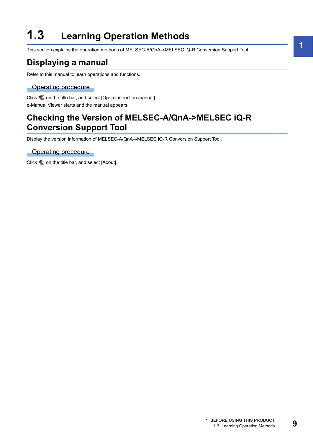# <span id="page-10-0"></span>**1.3 Learning Operation Methods**

This section explains the operation methods of MELSEC-A/QnA->MELSEC iQ-R Conversion Support Tool.

## <span id="page-10-1"></span>**Displaying a manual**

Refer to this manual to learn operations and functions.

#### Operating procedure

Click  $\blacksquare$  on the title bar, and select [Open instruction manual]. e-Manual Viewer starts and the manual appears.

## <span id="page-10-2"></span>**Checking the Version of MELSEC-A/QnA->MELSEC iQ-R Conversion Support Tool**

Display the version information of MELSEC-A/QnA->MELSEC iQ-R Conversion Support Tool.

Operating procedure

Click  $\blacksquare$  on the title bar, and select [About].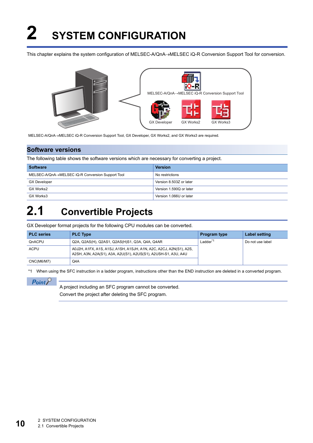# <span id="page-11-0"></span>**2 SYSTEM CONFIGURATION**

This chapter explains the system configuration of MELSEC-A/QnA->MELSEC iQ-R Conversion Support Tool for conversion.



MELSEC-A/QnA->MELSEC iQ-R Conversion Support Tool, GX Developer, GX Works2, and GX Works3 are required.

#### **Software versions**

The following table shows the software versions which are necessary for converting a project.

| <b>Software</b>                                  | <b>Version</b>          |
|--------------------------------------------------|-------------------------|
| MELSEC-A/QnA→MELSEC iQ-R Conversion Support Tool | No restrictions         |
| <b>GX Developer</b>                              | Version 8.503Z or later |
| GX Works2                                        | Version 1.590Q or later |
| GX Works3                                        | Version 1.066U or later |

## <span id="page-11-1"></span>**2.1 Convertible Projects**

GX Developer format projects for the following CPU modules can be converted.

| <b>PLC</b> series | <b>PLC Type</b>                                                                                                                      | <b>Program type</b> | Label setting    |
|-------------------|--------------------------------------------------------------------------------------------------------------------------------------|---------------------|------------------|
| QnACPU            | Q2A, Q2AS(H), Q2AS1, Q2AS(H)S1, Q3A, Q4A, Q4AR                                                                                       | Ladder <sup>*</sup> | Do not use label |
| ACPU              | A0J2H, A1FX, A1S, A1SJ, A1SH, A1SJH, A1N, A2C, A2CJ, A2N(S1), A2S,<br>A2SH, A3N, A2A(S1), A3A, A2U(S1), A2US(S1), A2USH-S1, A3U, A4U |                     |                  |
| CNC(M6/M7)        | Q4A                                                                                                                                  |                     |                  |

<span id="page-11-2"></span>\*1 When using the SFC instruction in a ladder program, instructions other than the END instruction are deleted in a converted program.

 $\mathsf{Point}^\heartsuit$ 

A project including an SFC program cannot be converted. Convert the project after deleting the SFC program.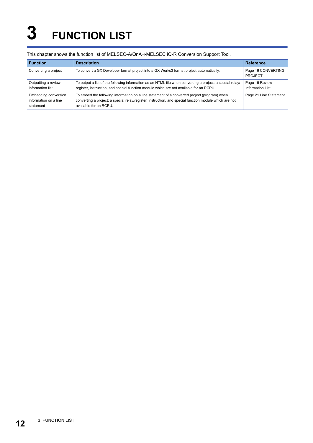# <span id="page-13-0"></span>**3 FUNCTION LIST**

#### This chapter shows the function list of MELSEC-A/QnA->MELSEC iQ-R Conversion Support Tool.

| <b>Function</b>                                            | <b>Description</b>                                                                                                                                                                                                               | <b>Reference</b>                   |
|------------------------------------------------------------|----------------------------------------------------------------------------------------------------------------------------------------------------------------------------------------------------------------------------------|------------------------------------|
| Converting a project                                       | To convert a GX Developer format project into a GX Works3 format project automatically.                                                                                                                                          | Page 16 CONVERTING<br>PROJECT      |
| Outputting a review<br>information list                    | To output a list of the following information as an HTML file when converting a project: a special relay/<br>register, instruction, and special function module which are not available for an RCPU.                             | Page 19 Review<br>Information List |
| Embedding conversion<br>information on a line<br>statement | To embed the following information on a line statement of a converted project (program) when<br>converting a project: a special relay/register, instruction, and special function module which are not<br>available for an RCPU. | Page 21 Line Statement             |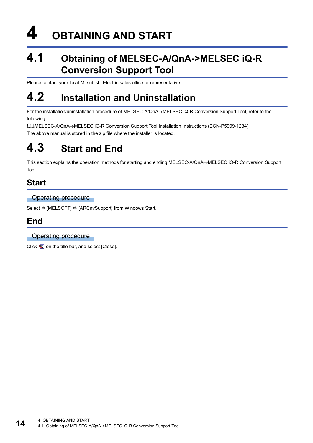# <span id="page-15-0"></span>**4 OBTAINING AND START**

## <span id="page-15-1"></span>**4.1 Obtaining of MELSEC-A/QnA->MELSEC iQ-R Conversion Support Tool**

Please contact your local Mitsubishi Electric sales office or representative.

## <span id="page-15-2"></span>**4.2 Installation and Uninstallation**

For the installation/uninstallation procedure of MELSEC-A/QnA->MELSEC iQ-R Conversion Support Tool, refer to the following:

L IMELSEC-A/QnA→MELSEC iQ-R Conversion Support Tool Installation Instructions (BCN-P5999-1284) The above manual is stored in the zip file where the installer is located.

## <span id="page-15-3"></span>**4.3 Start and End**

This section explains the operation methods for starting and ending MELSEC-A/QnA->MELSEC iQ-R Conversion Support Tool.

## <span id="page-15-4"></span>**Start**

**Operating procedure** 

Select  $\Rightarrow$  [MELSOFT]  $\Rightarrow$  [ARCnvSupport] from Windows Start.

## <span id="page-15-5"></span>**End**

### **Operating procedure**

Click  $\overline{w}$  on the title bar, and select [Close].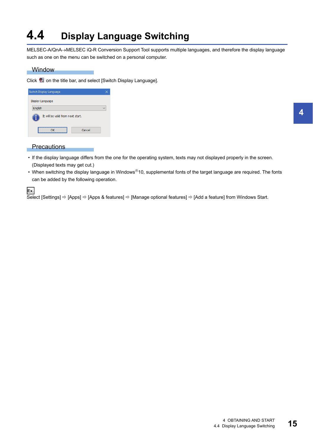# <span id="page-16-0"></span>**4.4 Display Language Switching**

MELSEC-A/QnA->MELSEC iQ-R Conversion Support Tool supports multiple languages, and therefore the display language such as one on the menu can be switched on a personal computer.

#### **Window**

Click **図** on the title bar, and select [Switch Display Language].

| Switch Display Language           |        |  |
|-----------------------------------|--------|--|
| Display Language                  |        |  |
| English                           |        |  |
| It will be valid from next start. |        |  |
|                                   | Cancel |  |

#### **Precautions**

- If the display language differs from the one for the operating system, texts may not displayed properly in the screen. (Displayed texts may get cut.)
- When switching the display language in Windows<sup>®</sup>10, supplemental fonts of the target language are required. The fonts can be added by the following operation.

**Ex.** Select [Settings]  $\Rightarrow$  [Apps]  $\Rightarrow$  [Apps & features]  $\Rightarrow$  [Manage optional features]  $\Rightarrow$  [Add a feature] from Windows Start.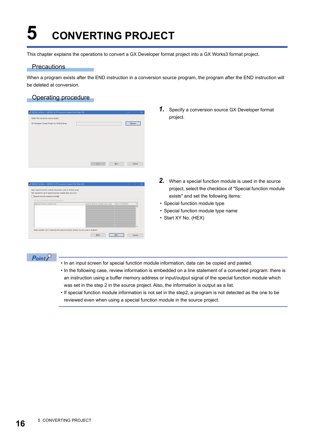# <span id="page-17-1"></span><span id="page-17-0"></span>**5 CONVERTING PROJECT**

This chapter explains the operations to convert a GX Developer format project into a GX Works3 format project.

#### **Precautions**

When a program exists after the END instruction in a conversion source program, the program after the END instruction will be deleted at conversion.

## Operating procedure

| MELSEC-A/QnA -> MELSEC iQ-R Conversion Support Tool (Step 1/6) |      |      | $\times$<br>$\qquad \qquad -$ |
|----------------------------------------------------------------|------|------|-------------------------------|
| Select the conversion source project                           |      |      |                               |
| GX Developer Format Project for A/QnA Series                   |      |      | Browse                        |
|                                                                |      |      |                               |
|                                                                |      |      |                               |
|                                                                |      |      |                               |
|                                                                |      |      |                               |
|                                                                |      |      |                               |
|                                                                |      |      |                               |
|                                                                | Back | Next | Cancel                        |

| Input special function module information used in A/QnA series. |                                                        |              |
|-----------------------------------------------------------------|--------------------------------------------------------|--------------|
| Not required to set if special function module does not exist.  |                                                        |              |
| Special function module exists(W)                               |                                                        |              |
| Set special function module information                         |                                                        |              |
| Special function module type                                    | Start XY No.(HEX)<br>Special function module type name | $\land$      |
|                                                                 |                                                        |              |
|                                                                 |                                                        |              |
|                                                                 |                                                        |              |
|                                                                 |                                                        |              |
|                                                                 |                                                        |              |
|                                                                 |                                                        | $\checkmark$ |

*1.* Specify a conversion source GX Developer format project.

- *2.* When a special function module is used in the source project, select the checkbox of "Special function module exists" and set the following items:
- Special function module type
- Special function module type name
- Start XY No. (HEX)

## $Point<sup>0</sup>$

- In an input screen for special function module information, data can be copied and pasted.
- In the following case, review information is embedded on a line statement of a converted program: there is an instruction using a buffer memory address or input/output signal of the special function module which was set in the step 2 in the source project. Also, the information is output as a list.
- If special function module information is not set in the step2, a program is not detected as the one to be reviewed even when using a special function module in the source project.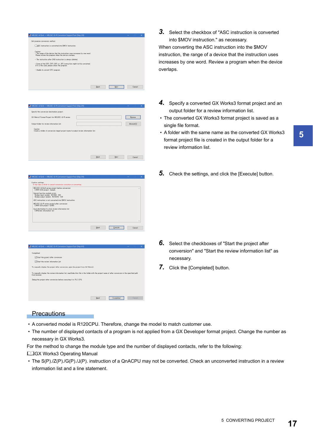

| MELSEC-A/QnA -> MELSEC iQ-R Conversion Support Tool (Step 4/6)                                  |              | $\times$<br>- |
|-------------------------------------------------------------------------------------------------|--------------|---------------|
| Specify the conversion destination project.                                                     |              |               |
| GX Works3 Format Project for MELSEC iQ-R series                                                 |              | Browse        |
| Output folder for review information list                                                       |              | Browse(E)     |
| Caution<br>Create a folder of conversion target project name to output review information list. |              |               |
|                                                                                                 |              |               |
|                                                                                                 |              |               |
|                                                                                                 |              |               |
|                                                                                                 |              |               |
|                                                                                                 | Back<br>Next | Cancel        |
|                                                                                                 |              |               |

| C#AR GXD project Sample          | MELSEC-A/QnA series project before conversion                                                                                                                                                                                            |  |  | $\overline{\phantom{a}}$ |
|----------------------------------|------------------------------------------------------------------------------------------------------------------------------------------------------------------------------------------------------------------------------------------|--|--|--------------------------|
|                                  | Special function module exists<br>Analog input module A616AD 000<br>Analog output module A616DAV 020<br>ASC instruction is not converted into \$MOV instruction.<br>MELSEC iQ-R series project after conversion<br>C¥AR GX3 project GXW3 |  |  |                          |
| <b>CXReview information list</b> | Save destination to store review information list                                                                                                                                                                                        |  |  |                          |



*3.* Select the checkbox of "ASC instruction is converted into \$MOV instruction." as necessary.

When converting the ASC instruction into the \$MOV instruction, the range of a device that the instruction uses increases by one word. Review a program when the device overlaps.

- *4.* Specify a converted GX Works3 format project and an output folder for a review information list.
- The converted GX Works3 format project is saved as a single file format.
- A folder with the same name as the converted GX Works3 format project file is created in the output folder for a review information list.
- *5.* Check the settings, and click the [Execute] button.

- *6.* Select the checkboxes of "Start the project after conversion" and "Start the review information list" as necessary.
- 7. Click the [Completed] button.

### **Precautions**

- A converted model is R120CPU. Therefore, change the model to match customer use.
- The number of displayed contacts of a program is not applied from a GX Developer format project. Change the number as necessary in GX Works3.

For the method to change the module type and the number of displayed contacts, refer to the following:

#### GX Works3 Operating Manual

 • The S(P)./Z(P)./G(P)./J(P). instruction of a QnACPU may not be converted. Check an unconverted instruction in a review information list and a line statement.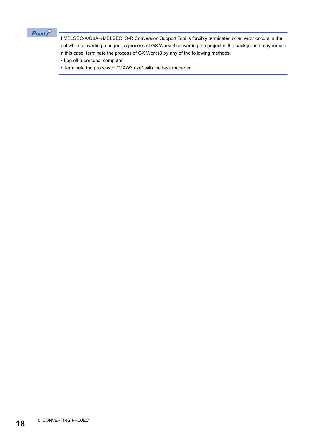

If MELSEC-A/QnA->MELSEC iQ-R Conversion Support Tool is forcibly terminated or an error occurs in the tool while converting a project, a process of GX Works3 converting the project in the background may remain. In this case, terminate the process of GX Works3 by any of the following methods:

- Log off a personal computer.
- Terminate the process of "GXW3.exe" with the task manager.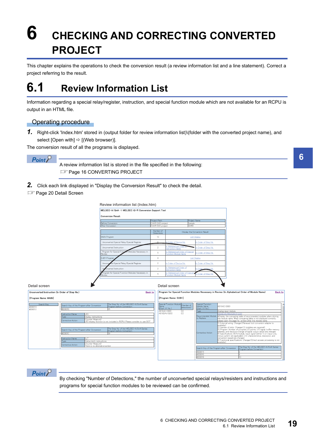# <span id="page-20-0"></span>**6 CHECKING AND CORRECTING CONVERTED PROJECT**

<span id="page-20-2"></span>This chapter explains the operations to check the conversion result (a review information list and a line statement). Correct a project referring to the result.

# <span id="page-20-1"></span>**6.1 Review Information List**

Information regarding a special relay/register, instruction, and special function module which are not available for an RCPU is output in an HTML file.

### Operating procedure

*1.* Right-click 'Index.htm' stored in (output folder for review information list)\(folder with the converted project name), and select [Open with]  $\Rightarrow$  [(Web browser)].

The conversion result of all the programs is displayed.

 $Point$ <sup> $\odot$ </sup>

A review information list is stored in the file specified in the following: **[Page 16 CONVERTING PROJECT](#page-17-1)** 

*2.* Click each link displayed in "Display the Conversion Result" to check the detail.

**FF** [Page 20 Detail Screen](#page-21-0)



## $Point$

By checking "Number of Detections," the number of unconverted special relays/resisters and instructions and programs for special function modules to be reviewed can be confirmed.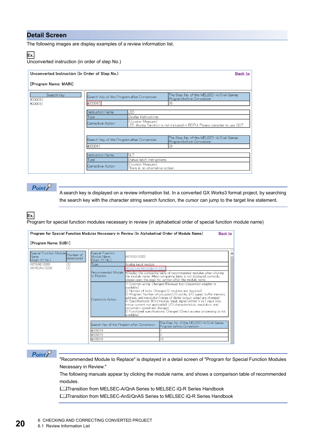### <span id="page-21-0"></span>**Detail Screen**

The following images are display examples of a review information list.

## **Ex.**

Unconverted instruction (in order of step No.)

| Unconverted Instruction (In Order of Step No.) |                                                                                                                                                    | <b>Back to</b>                                                              |
|------------------------------------------------|----------------------------------------------------------------------------------------------------------------------------------------------------|-----------------------------------------------------------------------------|
| [Program Name: MAIN]                           |                                                                                                                                                    |                                                                             |
| Search Key<br>#000010<br>#000012               | Search Key of the Program after Conversion<br>#000010                                                                                              | The Step No. of the MELSEC-A/QnA Series<br>Program before Conversion<br>135 |
|                                                | Instruction Name<br>LED<br>Display instructions<br> Type <br>Counter Measure)<br>lCorrective Action                                                | ED display function is not included in RCPU. Please consider to use GOT.    |
|                                                | Search Key of the Program after Conversion<br>#000012                                                                                              | The Step No. of the MELSEC-A/QnA Series<br>Program before Conversion<br>139 |
|                                                | <b>Instruction Name</b><br>SLT<br>Status latch instructions<br> Type <br>Counter Measure)<br>lCorrective Action<br>There is no alternative action. |                                                                             |

 $Point$ 

A search key is displayed on a review information list. In a converted GX Works3 format project, by searching the search key with the character string search function, the cursor can jump to the target line statement.

**Ex.**

Program for special function modules necessary in review (in alphabetical order of special function module name)

| [Program Name: SUB1]                                                                    |                                                                  | Program for Special Function Modules Necessary in Review (In Alphabetical Order of Module Name)<br><b>Back to</b>                                                                                                                                                                                                                                                                                                                                                                                                                                                                                                                                                                                                                                                                                  |
|-----------------------------------------------------------------------------------------|------------------------------------------------------------------|----------------------------------------------------------------------------------------------------------------------------------------------------------------------------------------------------------------------------------------------------------------------------------------------------------------------------------------------------------------------------------------------------------------------------------------------------------------------------------------------------------------------------------------------------------------------------------------------------------------------------------------------------------------------------------------------------------------------------------------------------------------------------------------------------|
| Special Function Module<br>Number of<br><b>I</b> Name<br>detections )<br>(Start XY No.) | Special Function<br>Module Name<br>(Start XY No.)                | A616AD (000)                                                                                                                                                                                                                                                                                                                                                                                                                                                                                                                                                                                                                                                                                                                                                                                       |
| A616AD (000)<br>(3)                                                                     | Type                                                             | Analog input module                                                                                                                                                                                                                                                                                                                                                                                                                                                                                                                                                                                                                                                                                                                                                                                |
| (2)<br>A616DAV (020)                                                                    | Recommended Module<br>lto Replace<br>Corrective Action           | R60ADV8/R60ADI8 (P.220)<br>*Display the comparing table of recommended modules when clicking<br>the module name. When comparing table is not displayed correctly,<br>please open the page No. written after the module name.<br>1) External wiring: Changed (Renewal tool conversion adapter is<br>lavailable)<br>2) Number of slots: Changed (2 modules are required)<br>3) Program: Number of occupied I/O points, I/O signal, buffer memory<br>address, and resolution (range of digital output value) are changed<br>4) Specifications: 8CH/module, Input signal (either V or I input only,<br>lminus current not applicable). I/O characteristics, resolution, and<br>lconversion speed are changed.<br>5) Functional specifications: Changed (Direct access processing is not<br>lavailable) |
|                                                                                         | Search Key of the Program after Conversion<br>#000014<br>#000016 | The Step No. of the MELSEC-A/QnA Series<br>Program before Conversion                                                                                                                                                                                                                                                                                                                                                                                                                                                                                                                                                                                                                                                                                                                               |
|                                                                                         | #000018                                                          | 13                                                                                                                                                                                                                                                                                                                                                                                                                                                                                                                                                                                                                                                                                                                                                                                                 |

 $Point<sup>0</sup>$ 

"Recommended Module to Replace" is displayed in a detail screen of "Program for Special Function Modules Necessary in Review."

The following manuals appear by clicking the module name, and shows a comparison table of recommended modules.

Coltransition from MELSEC-A/QnA Series to MELSEC iQ-R Series Handbook

Cal Transition from MELSEC-AnS/QnAS Series to MELSEC iQ-R Series Handbook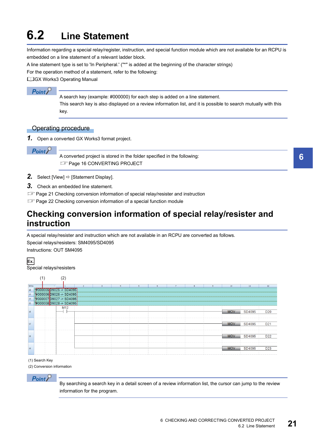# <span id="page-22-2"></span><span id="page-22-0"></span>**6.2 Line Statement**

Information regarding a special relay/register, instruction, and special function module which are not available for an RCPU is embedded on a line statement of a relevant ladder block.

A line statement type is set to 'In Peripheral.' ("\*" is added at the beginning of the character strings)

For the operation method of a statement, refer to the following:

GX Works3 Operating Manual

## $Point<sup>°</sup>$

A search key (example: #000000) for each step is added on a line statement.

This search key is also displayed on a review information list, and it is possible to search mutually with this key.

### Operating procedure

*1.* Open a converted GX Works3 format project.

 $Point<sup>0</sup>$ 

A converted project is stored in the folder specified in the following: **[Page 16 CONVERTING PROJECT](#page-17-1)** 

- **2.** Select [View]  $\Rightarrow$  [Statement Display].
- *3.* Check an embedded line statement.
- $\mathbb{F}$  [Page 21 Checking conversion information of special relay/resister and instruction](#page-22-1)
- Fage 22 Checking conversion information of a special function module

## <span id="page-22-1"></span>**Checking conversion information of special relay/resister and instruction**

A special relay/resister and instruction which are not available in an RCPU are converted as follows.

Special relays/resisters: SM4095/SD4095 Instructions: OUT SM4095

**Ex.** Special relays/resisters



(1) Search Key

(2) Conversion information

 $Point$ 

By searching a search key in a detail screen of a review information list, the cursor can jump to the review information for the program.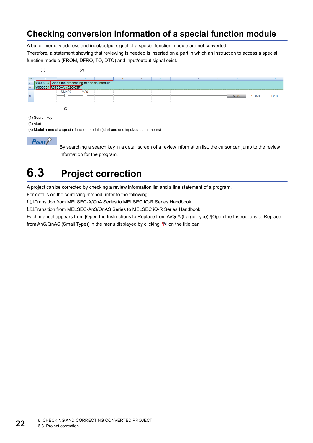## <span id="page-23-0"></span>**Checking conversion information of a special function module**

A buffer memory address and input/output signal of a special function module are not converted.

Therefore, a statement showing that reviewing is needed is inserted on a part in which an instruction to access a special function module (FROM, DFRO, TO, DTO) and input/output signal exist.



(1) Search key

#### (2) Alert

(3) Model name of a special function module (start and end input/output numbers)

 $Point$ 

By searching a search key in a detail screen of a review information list, the cursor can jump to the review information for the program.

# <span id="page-23-1"></span>**6.3 Project correction**

A project can be corrected by checking a review information list and a line statement of a program.

For details on the correcting method, refer to the following:

**Lata Transition from MELSEC-A/QnA Series to MELSEC iQ-R Series Handbook** 

LaTransition from MELSEC-AnS/QnAS Series to MELSEC iQ-R Series Handbook

Each manual appears from [Open the Instructions to Replace from A/QnA (Large Type)]/[Open the Instructions to Replace from AnS/QnAS (Small Type)] in the menu displayed by clicking a on the title bar.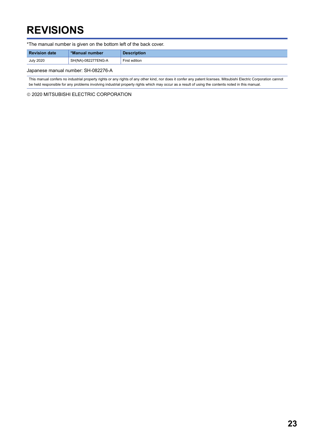# <span id="page-24-0"></span>**REVISIONS**

\*The manual number is given on the bottom left of the back cover.

| <b>Revision date</b> | *Manual number                  | <b>Description</b> |
|----------------------|---------------------------------|--------------------|
| <b>July 2020</b>     | <sup>1</sup> SH(NA)-082277ENG-A | First edition      |

Japanese manual number: SH-082276-A

This manual confers no industrial property rights or any rights of any other kind, nor does it confer any patent licenses. Mitsubishi Electric Corporation cannot be held responsible for any problems involving industrial property rights which may occur as a result of using the contents noted in this manual.

2020 MITSUBISHI ELECTRIC CORPORATION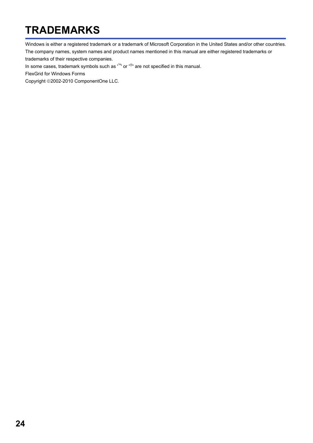# <span id="page-25-0"></span>**TRADEMARKS**

Windows is either a registered trademark or a trademark of Microsoft Corporation in the United States and/or other countries. The company names, system names and product names mentioned in this manual are either registered trademarks or

trademarks of their respective companies.

In some cases, trademark symbols such as  $I^M$  or  $I^{\circledR}$  are not specified in this manual.

FlexGrid for Windows Forms

Copyright ©2002-2010 ComponentOne LLC.